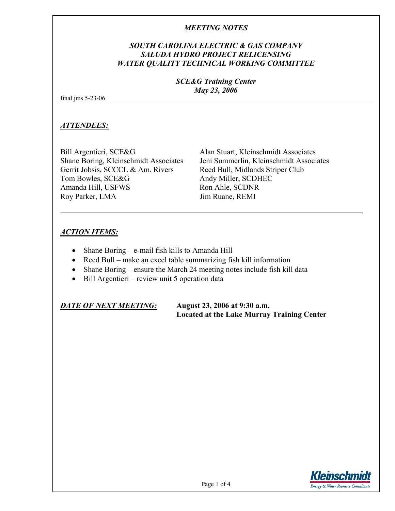# *SOUTH CAROLINA ELECTRIC & GAS COMPANY SALUDA HYDRO PROJECT RELICENSING WATER QUALITY TECHNICAL WORKING COMMITTEE*

### *SCE&G Training Center May 23, 2006*

final jms 5-23-06

### *ATTENDEES:*

Bill Argentieri, SCE&G Alan Stuart, Kleinschmidt Associates Gerrit Jobsis, SCCCL & Am. Rivers Reed Bull, Midlands Striper Club Tom Bowles, SCE&G Andy Miller, SCDHEC Amanda Hill, USFWS Ron Ahle, SCDNR Roy Parker, LMA Jim Ruane, REMI

Shane Boring, Kleinschmidt Associates Jeni Summerlin, Kleinschmidt Associates

# *ACTION ITEMS:*

- Shane Boring e-mail fish kills to Amanda Hill
- Reed Bull make an excel table summarizing fish kill information
- Shane Boring ensure the March 24 meeting notes include fish kill data
- Bill Argentieri review unit 5 operation data

*DATE OF NEXT MEETING:* **August 23, 2006 at 9:30 a.m.** 

 **Located at the Lake Murray Training Center** 

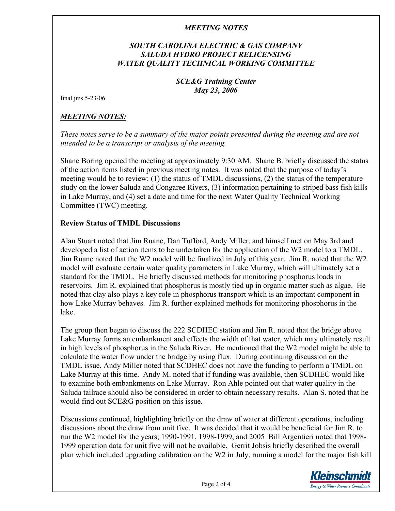# *SOUTH CAROLINA ELECTRIC & GAS COMPANY SALUDA HYDRO PROJECT RELICENSING WATER QUALITY TECHNICAL WORKING COMMITTEE*

### *SCE&G Training Center May 23, 2006*

#### final jms 5-23-06

# *MEETING NOTES:*

*These notes serve to be a summary of the major points presented during the meeting and are not intended to be a transcript or analysis of the meeting.* 

Shane Boring opened the meeting at approximately 9:30 AM. Shane B. briefly discussed the status of the action items listed in previous meeting notes. It was noted that the purpose of today's meeting would be to review: (1) the status of TMDL discussions, (2) the status of the temperature study on the lower Saluda and Congaree Rivers, (3) information pertaining to striped bass fish kills in Lake Murray, and (4) set a date and time for the next Water Quality Technical Working Committee (TWC) meeting.

### **Review Status of TMDL Discussions**

Alan Stuart noted that Jim Ruane, Dan Tufford, Andy Miller, and himself met on May 3rd and developed a list of action items to be undertaken for the application of the W2 model to a TMDL. Jim Ruane noted that the W2 model will be finalized in July of this year. Jim R. noted that the W2 model will evaluate certain water quality parameters in Lake Murray, which will ultimately set a standard for the TMDL. He briefly discussed methods for monitoring phosphorus loads in reservoirs. Jim R. explained that phosphorus is mostly tied up in organic matter such as algae. He noted that clay also plays a key role in phosphorus transport which is an important component in how Lake Murray behaves. Jim R. further explained methods for monitoring phosphorus in the lake.

The group then began to discuss the 222 SCDHEC station and Jim R. noted that the bridge above Lake Murray forms an embankment and effects the width of that water, which may ultimately result in high levels of phosphorus in the Saluda River. He mentioned that the W2 model might be able to calculate the water flow under the bridge by using flux. During continuing discussion on the TMDL issue, Andy Miller noted that SCDHEC does not have the funding to perform a TMDL on Lake Murray at this time. Andy M. noted that if funding was available, then SCDHEC would like to examine both embankments on Lake Murray. Ron Ahle pointed out that water quality in the Saluda tailrace should also be considered in order to obtain necessary results. Alan S. noted that he would find out SCE&G position on this issue.

Discussions continued, highlighting briefly on the draw of water at different operations, including discussions about the draw from unit five. It was decided that it would be beneficial for Jim R. to run the W2 model for the years; 1990-1991, 1998-1999, and 2005 Bill Argentieri noted that 1998- 1999 operation data for unit five will not be available. Gerrit Jobsis briefly described the overall plan which included upgrading calibration on the W2 in July, running a model for the major fish kill

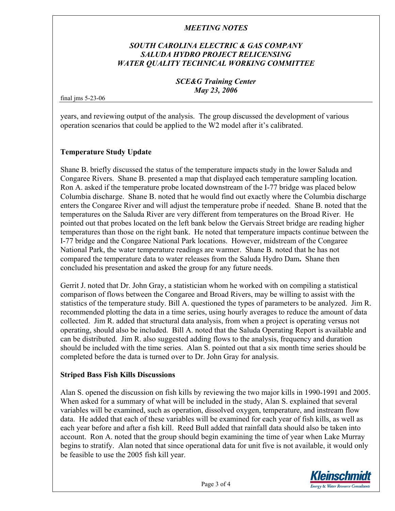# *SOUTH CAROLINA ELECTRIC & GAS COMPANY SALUDA HYDRO PROJECT RELICENSING WATER QUALITY TECHNICAL WORKING COMMITTEE*

### *SCE&G Training Center May 23, 2006*

final jms 5-23-06

years, and reviewing output of the analysis. The group discussed the development of various operation scenarios that could be applied to the W2 model after it's calibrated.

### **Temperature Study Update**

Shane B. briefly discussed the status of the temperature impacts study in the lower Saluda and Congaree Rivers. Shane B. presented a map that displayed each temperature sampling location. Ron A. asked if the temperature probe located downstream of the I-77 bridge was placed below Columbia discharge. Shane B. noted that he would find out exactly where the Columbia discharge enters the Congaree River and will adjust the temperature probe if needed. Shane B. noted that the temperatures on the Saluda River are very different from temperatures on the Broad River.He pointed out that probes located on the left bank below the Gervais Street bridge are reading higher temperatures than those on the right bank.He noted that temperature impacts continue between the I-77 bridge and the Congaree National Park locations. However, midstream of the Congaree National Park, the water temperature readings are warmer. Shane B. noted that he has not compared the temperature data to water releases from the Saluda Hydro Dam**.** Shane then concluded his presentation and asked the group for any future needs.

Gerrit J. noted that Dr. John Gray, a statistician whom he worked with on compiling a statistical comparison of flows between the Congaree and Broad Rivers, may be willing to assist with the statistics of the temperature study. Bill A. questioned the types of parameters to be analyzed. Jim R. recommended plotting the data in a time series, using hourly averages to reduce the amount of data collected. Jim R. added that structural data analysis, from when a project is operating versus not operating, should also be included. Bill A. noted that the Saluda Operating Report is available and can be distributed. Jim R. also suggested adding flows to the analysis, frequency and duration should be included with the time series. Alan S. pointed out that a six month time series should be completed before the data is turned over to Dr. John Gray for analysis.

### **Striped Bass Fish Kills Discussions**

Alan S. opened the discussion on fish kills by reviewing the two major kills in 1990-1991 and 2005. When asked for a summary of what will be included in the study, Alan S. explained that several variables will be examined, such as operation, dissolved oxygen, temperature, and instream flow data. He added that each of these variables will be examined for each year of fish kills, as well as each year before and after a fish kill. Reed Bull added that rainfall data should also be taken into account. Ron A. noted that the group should begin examining the time of year when Lake Murray begins to stratify. Alan noted that since operational data for unit five is not available, it would only be feasible to use the 2005 fish kill year.